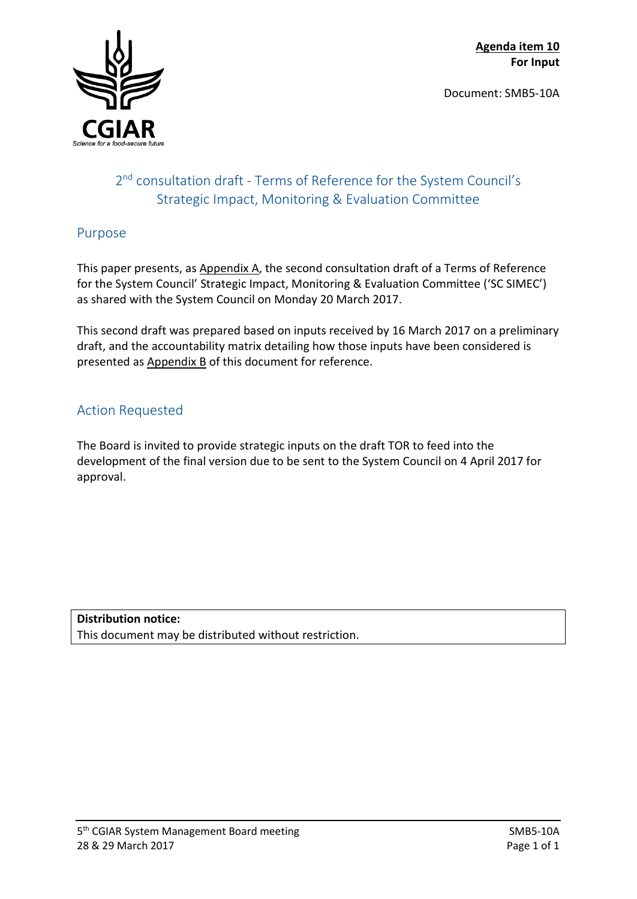Document: SMB5-10A



# 2<sup>nd</sup> consultation draft - Terms of Reference for the System Council's Strategic Impact, Monitoring & Evaluation Committee

## Purpose

This paper presents, as Appendix A, the second consultation draft of a Terms of Reference for the System Council' Strategic Impact, Monitoring & Evaluation Committee ('SC SIMEC') as shared with the System Council on Monday 20 March 2017.

This second draft was prepared based on inputs received by 16 March 2017 on a preliminary draft, and the accountability matrix detailing how those inputs have been considered is presented as Appendix B of this document for reference.

## Action Requested

The Board is invited to provide strategic inputs on the draft TOR to feed into the development of the final version due to be sent to the System Council on 4 April 2017 for approval.

**Distribution notice:** This document may be distributed without restriction.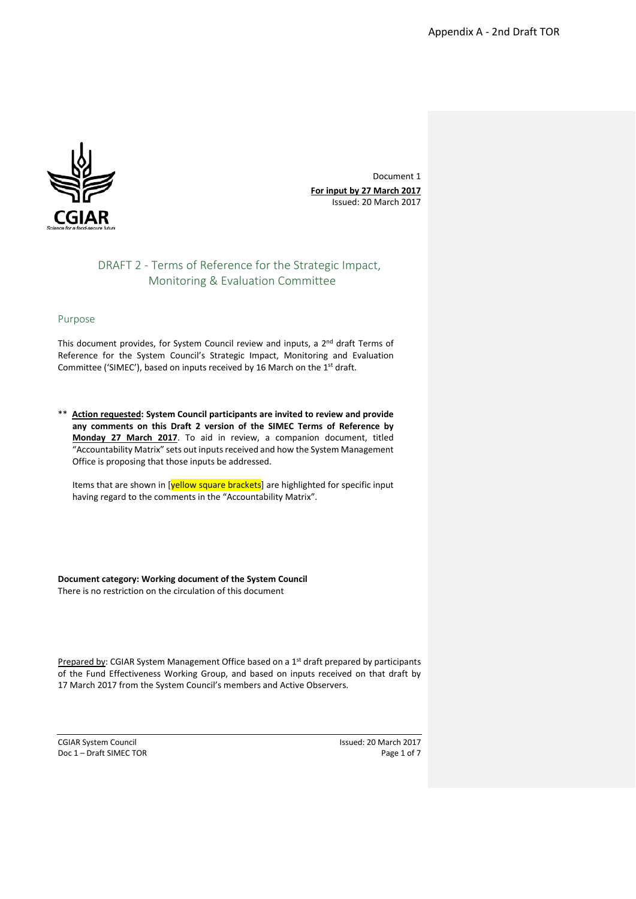

Document 1 **For input by 27 March 2017** Issued: 20 March 2017

### DRAFT 2 - Terms of Reference for the Strategic Impact, Monitoring & Evaluation Committee

#### Purpose

This document provides, for System Council review and inputs, a 2<sup>nd</sup> draft Terms of Reference for the System Council's Strategic Impact, Monitoring and Evaluation Committee ('SIMEC'), based on inputs received by 16 March on the 1<sup>st</sup> draft.

\*\* **Action requested: System Council participants are invited to review and provide any comments on this Draft 2 version of the SIMEC Terms of Reference by Monday 27 March 2017**. To aid in review, a companion document, titled "Accountability Matrix" sets out inputs received and how the System Management Office is proposing that those inputs be addressed.

Items that are shown in [yellow square brackets] are highlighted for specific input having regard to the comments in the "Accountability Matrix".

**Document category: Working document of the System Council** There is no restriction on the circulation of this document

Prepared by: CGIAR System Management Office based on a 1<sup>st</sup> draft prepared by participants of the Fund Effectiveness Working Group, and based on inputs received on that draft by 17 March 2017 from the System Council's members and Active Observers.

Doc 1 – Draft SIMEC TOR Page 1 of 7

CGIAR System Council and System Council and System Council and System Council and System Council and System Council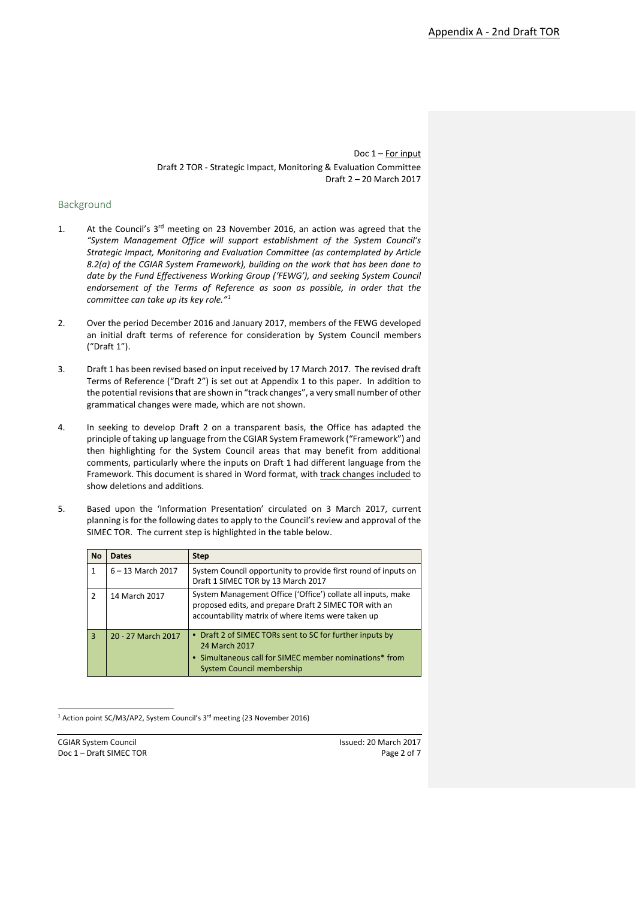#### Background

- 1. At the Council's 3rd meeting on 23 November 2016, an action was agreed that the *"System Management Office will support establishment of the System Council's Strategic Impact, Monitoring and Evaluation Committee (as contemplated by Article 8.2(a) of the CGIAR System Framework), building on the work that has been done to date by the Fund Effectiveness Working Group ('FEWG'), and seeking System Council endorsement of the Terms of Reference as soon as possible, in order that the committee can take up its key role."[1](#page-2-0)*
- 2. Over the period December 2016 and January 2017, members of the FEWG developed an initial draft terms of reference for consideration by System Council members ("Draft 1").
- 3. Draft 1 has been revised based on input received by 17 March 2017. The revised draft Terms of Reference ("Draft 2") is set out at Appendix 1 to this paper. In addition to the potential revisions that are shown in "track changes", a very small number of other grammatical changes were made, which are not shown.
- 4. In seeking to develop Draft 2 on a transparent basis, the Office has adapted the principle of taking up language from the CGIAR System Framework ("Framework") and then highlighting for the System Council areas that may benefit from additional comments, particularly where the inputs on Draft 1 had different language from the Framework. This document is shared in Word format, with track changes included to show deletions and additions.
- 5. Based upon the 'Information Presentation' circulated on 3 March 2017, current planning is for the following dates to apply to the Council's review and approval of the SIMEC TOR. The current step is highlighted in the table below.

| <b>No</b>     | <b>Dates</b>        | <b>Step</b>                                                                                                                                                                 |
|---------------|---------------------|-----------------------------------------------------------------------------------------------------------------------------------------------------------------------------|
| 1             | $6 - 13$ March 2017 | System Council opportunity to provide first round of inputs on<br>Draft 1 SIMEC TOR by 13 March 2017                                                                        |
| $\mathcal{P}$ | 14 March 2017       | System Management Office ('Office') collate all inputs, make<br>proposed edits, and prepare Draft 2 SIMEC TOR with an<br>accountability matrix of where items were taken up |
| $\mathbf{R}$  | 20 - 27 March 2017  | • Draft 2 of SIMEC TORs sent to SC for further inputs by<br>24 March 2017<br>• Simultaneous call for SIMEC member nominations* from<br>System Council membership            |

<sup>&</sup>lt;sup>1</sup> Action point SC/M3/AP2, System Council's 3<sup>rd</sup> meeting (23 November 2016)

<span id="page-2-0"></span>Doc 1 – Draft SIMEC TOR Page 2 of 7

CGIAR System Council and System Council and System Council and System Council and System Council and System Council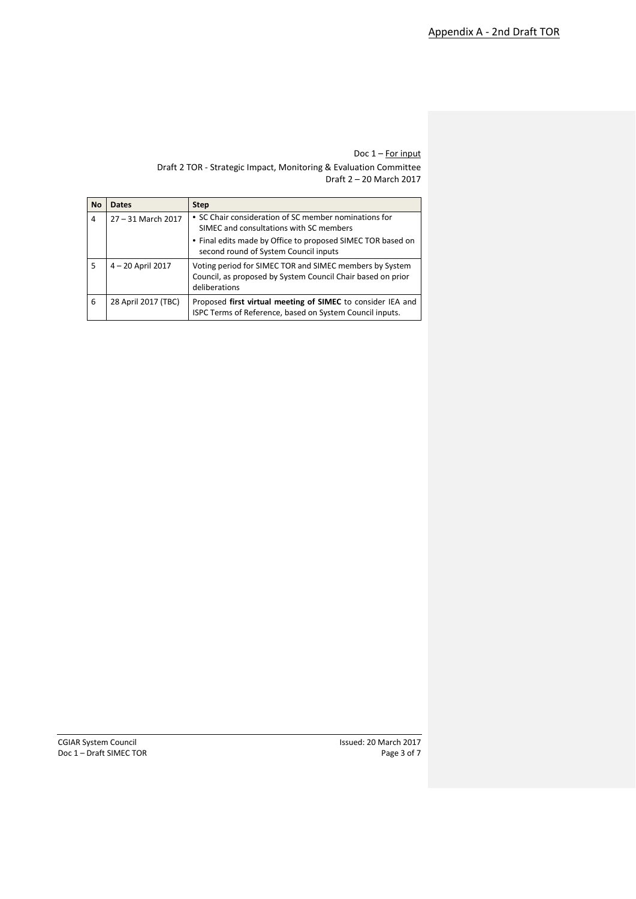| <b>No</b> | <b>Dates</b>        | <b>Step</b>                                                                                                                             |  |  |  |  |  |
|-----------|---------------------|-----------------------------------------------------------------------------------------------------------------------------------------|--|--|--|--|--|
| 4         | 27 - 31 March 2017  | • SC Chair consideration of SC member nominations for<br>SIMEC and consultations with SC members                                        |  |  |  |  |  |
|           |                     | • Final edits made by Office to proposed SIMEC TOR based on<br>second round of System Council inputs                                    |  |  |  |  |  |
| 5         | 4 - 20 April 2017   | Voting period for SIMEC TOR and SIMEC members by System<br>Council, as proposed by System Council Chair based on prior<br>deliberations |  |  |  |  |  |
| 6         | 28 April 2017 (TBC) | Proposed first virtual meeting of SIMEC to consider IEA and<br>ISPC Terms of Reference, based on System Council inputs.                 |  |  |  |  |  |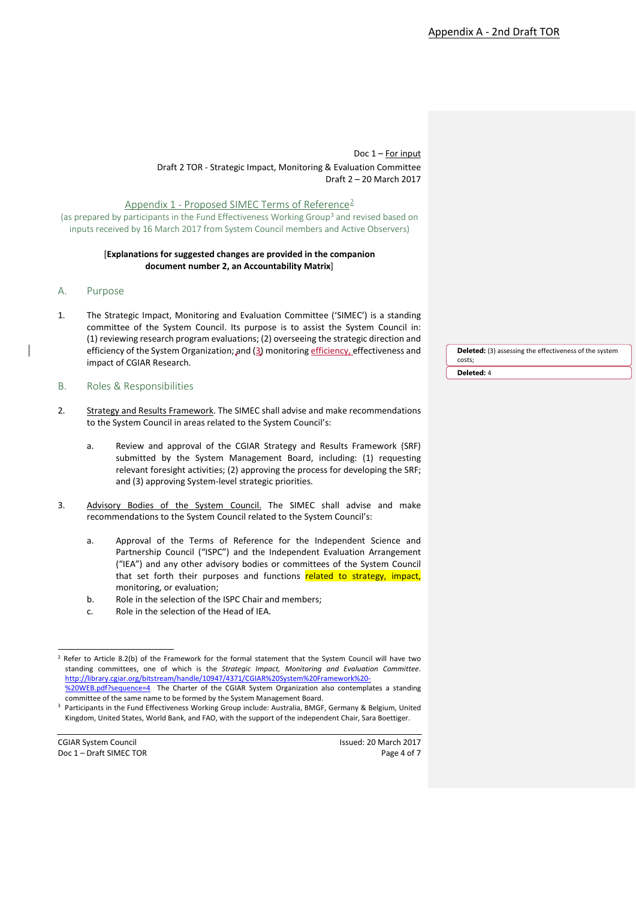Appendix 1 - Proposed SIMEC Terms of Reference<sup>[2](#page-4-0)</sup>

(as prepared by participants in the Fund Effectiveness Working Group[3](#page-4-1) and revised based on inputs received by 16 March 2017 from System Council members and Active Observers)

#### [**Explanations for suggested changes are provided in the companion document number 2, an Accountability Matrix**]

- A. Purpose
- 1. The Strategic Impact, Monitoring and Evaluation Committee ('SIMEC') is a standing committee of the System Council. Its purpose is to assist the System Council in: (1) reviewing research program evaluations; (2) overseeing the strategic direction and efficiency of the System Organization; and (3) monitoring efficiency, effectiveness and impact of CGIAR Research.
- B. Roles & Responsibilities
- 2. Strategy and Results Framework. The SIMEC shall advise and make recommendations to the System Council in areas related to the System Council's:
	- a. Review and approval of the CGIAR Strategy and Results Framework (SRF) submitted by the System Management Board, including: (1) requesting relevant foresight activities; (2) approving the process for developing the SRF; and (3) approving System-level strategic priorities.
- 3. Advisory Bodies of the System Council. The SIMEC shall advise and make recommendations to the System Council related to the System Council's:
	- a. Approval of the Terms of Reference for the Independent Science and Partnership Council ("ISPC") and the Independent Evaluation Arrangement ("IEA") and any other advisory bodies or committees of the System Council that set forth their purposes and functions related to strategy, impact, monitoring, or evaluation;
	- b. Role in the selection of the ISPC Chair and members;
	- c. Role in the selection of the Head of IEA.

<span id="page-4-1"></span><span id="page-4-0"></span>Doc 1 – Draft SIMEC TOR Page 4 of 7

**Deleted:** (3) assessing the effectiveness of the system costs; **Deleted:** 4

<sup>&</sup>lt;sup>2</sup> Refer to Article 8.2(b) of the Framework for the formal statement that the System Council will have two standing committees, one of which is the *Strategic Impact, Monitoring and Evaluation Committee*. [http://library.cgiar.org/bitstream/handle/10947/4371/CGIAR%20System%20Framework%20-](http://library.cgiar.org/bitstream/handle/10947/4371/CGIAR%20System%20Framework%20-%20WEB.pdf?sequence=4) [%20WEB.pdf?sequence=4](http://library.cgiar.org/bitstream/handle/10947/4371/CGIAR%20System%20Framework%20-%20WEB.pdf?sequence=4)The Charter of the CGIAR System Organization also contemplates a standing

committee of the same name to be formed by the System Management Board. 3 Participants in the Fund Effectiveness Working Group include: Australia, BMGF, Germany & Belgium, United

Kingdom, United States, World Bank, and FAO, with the support of the independent Chair, Sara Boettiger.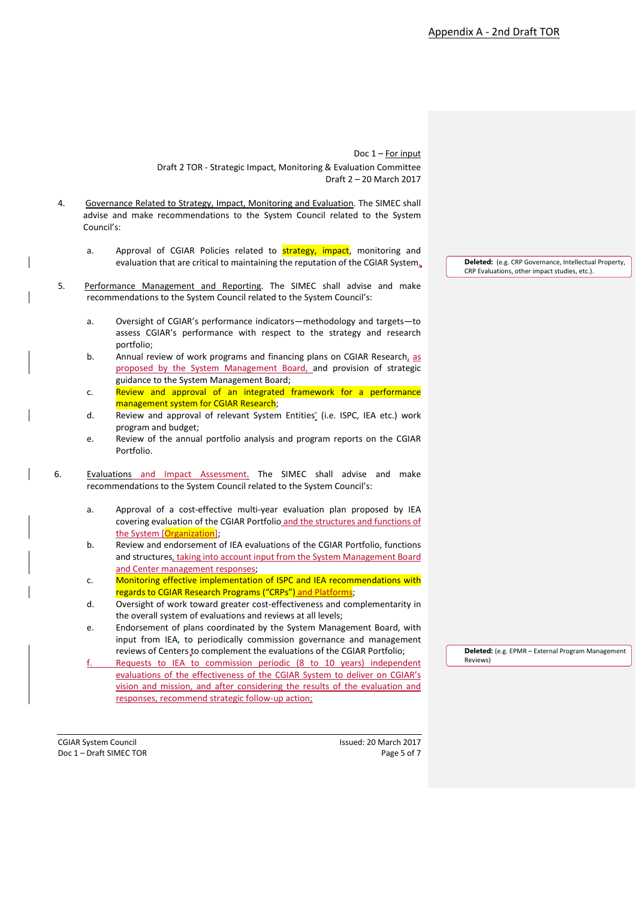- 4. Governance Related to Strategy, Impact, Monitoring and Evaluation. The SIMEC shall advise and make recommendations to the System Council related to the System Council's:
	- a. Approval of CGIAR Policies related to **strategy, impact**, monitoring and evaluation that are critical to maintaining the reputation of the CGIAR System.
- 5. Performance Management and Reporting. The SIMEC shall advise and make recommendations to the System Council related to the System Council's:
	- a. Oversight of CGIAR's performance indicators—methodology and targets—to assess CGIAR's performance with respect to the strategy and research portfolio;
	- b. Annual review of work programs and financing plans on CGIAR Research, as proposed by the System Management Board, and provision of strategic guidance to the System Management Board;
	- c. Review and approval of an integrated framework for a performance management system for CGIAR Research;
	- d. Review and approval of relevant System Entities' (i.e. ISPC, IEA etc.) work program and budget;
	- e. Review of the annual portfolio analysis and program reports on the CGIAR Portfolio.
- 6. Evaluations and Impact Assessment. The SIMEC shall advise and make recommendations to the System Council related to the System Council's:
	- a. Approval of a cost-effective multi-year evaluation plan proposed by IEA covering evaluation of the CGIAR Portfolio and the structures and functions of the System [Organization];
	- b. Review and endorsement of IEA evaluations of the CGIAR Portfolio, functions and structures, taking into account input from the System Management Board and Center management responses;
	- c. Monitoring effective implementation of ISPC and IEA recommendations with regards to CGIAR Research Programs ("CRPs") and Platforms;
	- d. Oversight of work toward greater cost-effectiveness and complementarity in the overall system of evaluations and reviews at all levels;
	- e. Endorsement of plans coordinated by the System Management Board, with input from IEA, to periodically commission governance and management reviews of Centers to complement the evaluations of the CGIAR Portfolio;
	- Requests to IEA to commission periodic (8 to 10 years) independent evaluations of the effectiveness of the CGIAR System to deliver on CGIAR's vision and mission, and after considering the results of the evaluation and responses, recommend strategic follow-up action;

CGIAR System Council Issued: 20 March 2017 Doc 1 – Draft SIMEC TOR Page 5 of 7

**Deleted:** (e.g. CRP Governance, Intellectual Property, CRP Evaluations, other impact studies, etc.).

**Deleted:** (e.g. EPMR – External Program Management Reviews)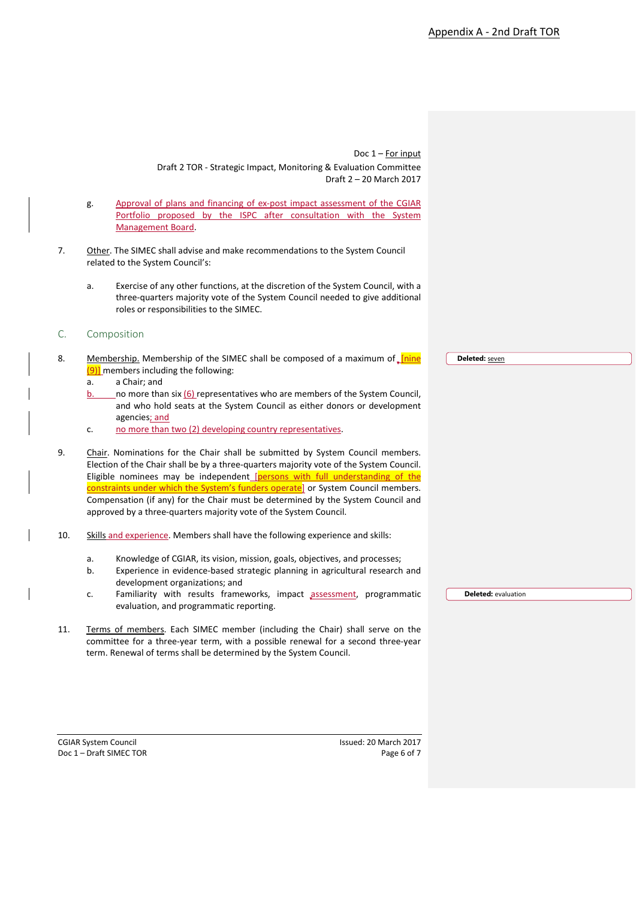- g. Approval of plans and financing of ex-post impact assessment of the CGIAR Portfolio proposed by the ISPC after consultation with the System Management Board.
- 7. Other. The SIMEC shall advise and make recommendations to the System Council related to the System Council's:
	- a. Exercise of any other functions, at the discretion of the System Council, with a three-quarters majority vote of the System Council needed to give additional roles or responsibilities to the SIMEC.
- C. Composition
- 8. Membership. Membership of the SIMEC shall be composed of a maximum of *[nine]*  $(9)$ ] members including the following:
	- a. a Chair; and
	- b. no more than six (6) representatives who are members of the System Council, and who hold seats at the System Council as either donors or development agencies; and
	- c. no more than two (2) developing country representatives.
- 9. Chair. Nominations for the Chair shall be submitted by System Council members. Election of the Chair shall be by a three-quarters majority vote of the System Council. Eligible nominees may be independent [persons with full understanding of the constraints under which the System's funders operate] or System Council members. Compensation (if any) for the Chair must be determined by the System Council and approved by a three-quarters majority vote of the System Council.
- 10. Skills and experience. Members shall have the following experience and skills:
	- a. Knowledge of CGIAR, its vision, mission, goals, objectives, and processes;
	- b. Experience in evidence-based strategic planning in agricultural research and development organizations; and
	- c. Familiarity with results frameworks, impact assessment, programmatic evaluation, and programmatic reporting.
- 11. Terms of members. Each SIMEC member (including the Chair) shall serve on the committee for a three-year term, with a possible renewal for a second three-year term. Renewal of terms shall be determined by the System Council.

Doc 1 – Draft SIMEC TOR Page 6 of 7

CGIAR System Council Issued: 20 March 2017

**Deleted:** seven

**Deleted:** evaluation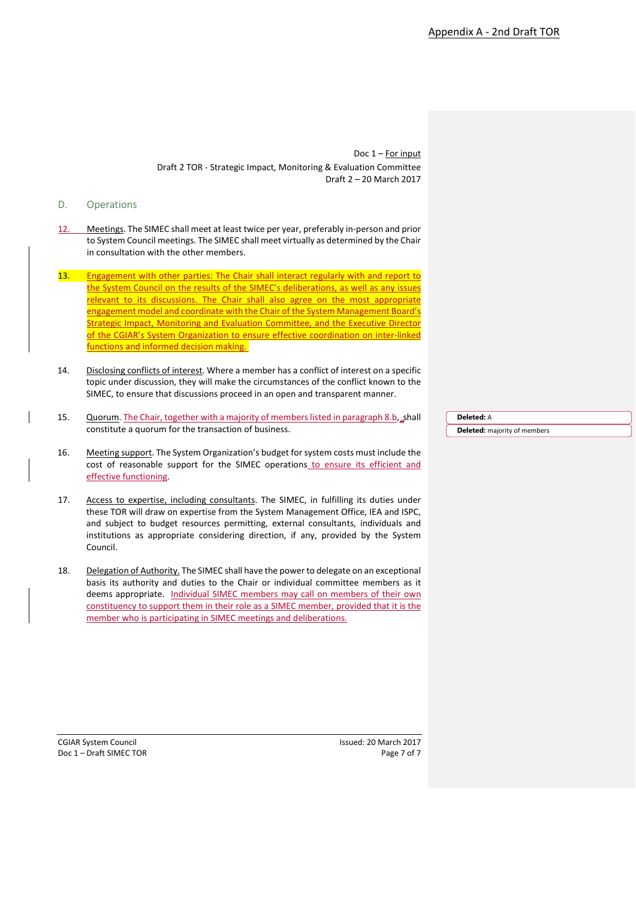### D. Operations

- 12. Meetings. The SIMEC shall meet at least twice per year, preferably in-person and prior to System Council meetings. The SIMEC shall meet virtually as determined by the Chair in consultation with the other members.
- 13. Engagement with other parties: The Chair shall interact regularly with and report to the System Council on the results of the SIMEC's deliberations, as well as any issues relevant to its discussions. The Chair shall also agree on the most appropriate engagement model and coordinate with the Chair of the System Management Board's Strategic Impact, Monitoring and Evaluation Committee, and the Executive Director of the CGIAR's System Organization to ensure effective coordination on inter-linked functions and informed decision making.
- 14. Disclosing conflicts of interest. Where a member has a conflict of interest on a specific topic under discussion, they will make the circumstances of the conflict known to the SIMEC, to ensure that discussions proceed in an open and transparent manner.
- 15. Quorum. The Chair, together with a majority of members listed in paragraph 8.b, shall constitute a quorum for the transaction of business.
- 16. Meeting support. The System Organization's budget for system costs must include the cost of reasonable support for the SIMEC operations to ensure its efficient and effective functioning.
- 17. Access to expertise, including consultants. The SIMEC, in fulfilling its duties under these TOR will draw on expertise from the System Management Office, IEA and ISPC, and subject to budget resources permitting, external consultants, individuals and institutions as appropriate considering direction, if any, provided by the System Council.
- 18. Delegation of Authority. The SIMEC shall have the power to delegate on an exceptional basis its authority and duties to the Chair or individual committee members as it deems appropriate. Individual SIMEC members may call on members of their own constituency to support them in their role as a SIMEC member, provided that it is the member who is participating in SIMEC meetings and deliberations.

**Deleted:** A **Deleted:** majority of members

Doc 1 – Draft SIMEC TOR Page 7 of 7

CGIAR System Council Issued: 20 March 2017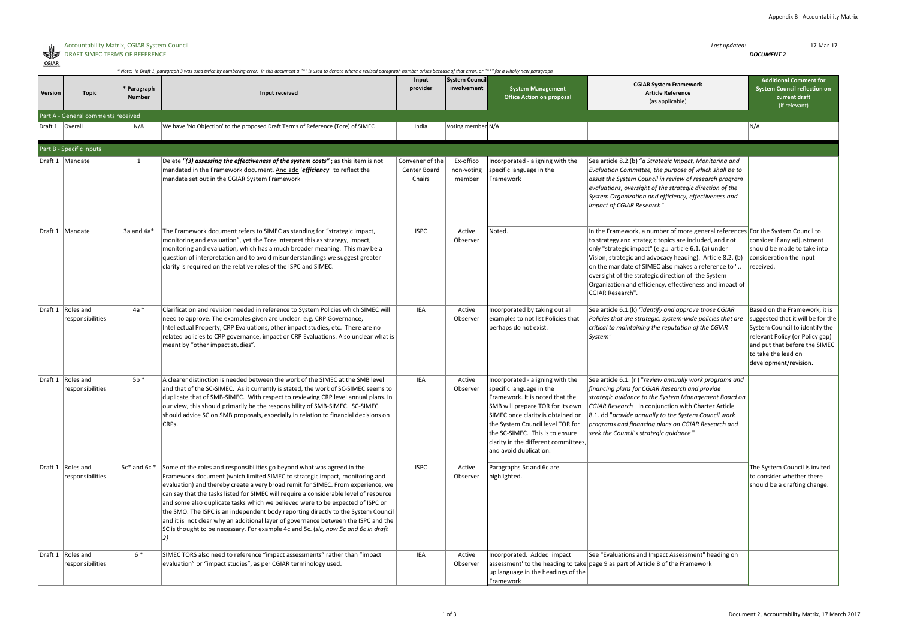

### Accountability Matrix, CGIAR System Council *Last updated:* 17-Mar-17 DRAFT SIMEC TERMS OF REFERENCE *DOCUMENT 2*

| ראנ  |  |
|------|--|
| il∆R |  |

|                   | * Note: In Draft 1, paragraph 3 was used twice by numbering error. In this document a "*" is used to denote where a revised paragraph number arises because of that error, or "**" for a wholly new paragraph |                              |                                                                                                                                                                                                                                                                                                                                                                                                                                                                                                                                                                                                                                                                                        |                                           |                                      |                                                                                                                                                                                                                                                                                                                   |                                                                                                                                                                                                                                                                                                                                                                                                                                                              |                                                                                                                                                                                                                          |  |
|-------------------|---------------------------------------------------------------------------------------------------------------------------------------------------------------------------------------------------------------|------------------------------|----------------------------------------------------------------------------------------------------------------------------------------------------------------------------------------------------------------------------------------------------------------------------------------------------------------------------------------------------------------------------------------------------------------------------------------------------------------------------------------------------------------------------------------------------------------------------------------------------------------------------------------------------------------------------------------|-------------------------------------------|--------------------------------------|-------------------------------------------------------------------------------------------------------------------------------------------------------------------------------------------------------------------------------------------------------------------------------------------------------------------|--------------------------------------------------------------------------------------------------------------------------------------------------------------------------------------------------------------------------------------------------------------------------------------------------------------------------------------------------------------------------------------------------------------------------------------------------------------|--------------------------------------------------------------------------------------------------------------------------------------------------------------------------------------------------------------------------|--|
| Version           | <b>Topic</b>                                                                                                                                                                                                  | * Paragraph<br><b>Number</b> | Input received                                                                                                                                                                                                                                                                                                                                                                                                                                                                                                                                                                                                                                                                         | Input<br>provider                         | <b>System Council</b><br>involvement | <b>System Management</b><br><b>Office Action on proposal</b>                                                                                                                                                                                                                                                      | <b>CGIAR System Framework</b><br><b>Article Reference</b><br>(as applicable)                                                                                                                                                                                                                                                                                                                                                                                 | <b>Additional Comment for</b><br><b>System Council reflection on</b><br>current draft<br>(if relevant)                                                                                                                   |  |
|                   | Part A - General comments received                                                                                                                                                                            |                              |                                                                                                                                                                                                                                                                                                                                                                                                                                                                                                                                                                                                                                                                                        |                                           |                                      |                                                                                                                                                                                                                                                                                                                   |                                                                                                                                                                                                                                                                                                                                                                                                                                                              |                                                                                                                                                                                                                          |  |
| Draft 1   Overall |                                                                                                                                                                                                               | N/A                          | We have 'No Objection' to the proposed Draft Terms of Reference (Tore) of SIMEC                                                                                                                                                                                                                                                                                                                                                                                                                                                                                                                                                                                                        | India                                     | Voting member N/A                    |                                                                                                                                                                                                                                                                                                                   |                                                                                                                                                                                                                                                                                                                                                                                                                                                              | N/A                                                                                                                                                                                                                      |  |
|                   | Part B - Specific inputs                                                                                                                                                                                      |                              |                                                                                                                                                                                                                                                                                                                                                                                                                                                                                                                                                                                                                                                                                        |                                           |                                      |                                                                                                                                                                                                                                                                                                                   |                                                                                                                                                                                                                                                                                                                                                                                                                                                              |                                                                                                                                                                                                                          |  |
|                   | Draft 1   Mandate                                                                                                                                                                                             | $\mathbf{1}$                 | Delete "(3) assessing the effectiveness of the system costs"; as this item is not<br>mandated in the Framework document. And add 'efficiency ' to reflect the<br>mandate set out in the CGIAR System Framework                                                                                                                                                                                                                                                                                                                                                                                                                                                                         | Convener of the<br>Center Board<br>Chairs | Ex-offico<br>non-voting<br>member    | Incorporated - aligning with the<br>specific language in the<br>Framework                                                                                                                                                                                                                                         | See article 8.2.(b) "a Strategic Impact, Monitoring and<br>Evaluation Committee, the purpose of which shall be to<br>assist the System Council in review of research program<br>$ evaluations$ , oversight of the strategic direction of the<br>System Organization and efficiency, effectiveness and<br>impact of CGIAR Research"                                                                                                                           |                                                                                                                                                                                                                          |  |
|                   | Draft 1   Mandate                                                                                                                                                                                             | 3a and $4a*$                 | The Framework document refers to SIMEC as standing for "strategic impact,<br>monitoring and evaluation", yet the Tore interpret this as strategy, impact,<br>monitoring and evaluation, which has a much broader meaning. This may be a<br>question of interpretation and to avoid misunderstandings we suggest greater<br>clarity is required on the relative roles of the ISPC and SIMEC.                                                                                                                                                                                                                                                                                            | <b>ISPC</b>                               | Active<br>Observer                   | Noted.                                                                                                                                                                                                                                                                                                            | In the Framework, a number of more general references For the System Council to<br>to strategy and strategic topics are included, and not<br>only "strategic impact" (e.g.: article 6.1. (a) under<br>Vision, strategic and advocacy heading). Article 8.2. (b)<br>on the mandate of SIMEC also makes a reference to "<br>oversight of the strategic direction of the System<br>Organization and efficiency, effectiveness and impact of<br>CGIAR Research". | consider if any adjustment<br>should be made to take into<br>consideration the input<br>received.                                                                                                                        |  |
|                   | Draft 1   Roles and<br>responsibilities                                                                                                                                                                       | $4a *$                       | Clarification and revision needed in reference to System Policies which SIMEC will<br>need to approve. The examples given are unclear: e.g. CRP Governance,<br>Intellectual Property, CRP Evaluations, other impact studies, etc. There are no<br>related policies to CRP governance, impact or CRP Evaluations. Also unclear what is<br>meant by "other impact studies".                                                                                                                                                                                                                                                                                                              | IEA                                       | Active<br>Observer                   | Incorporated by taking out all<br>examples to not list Policies that<br>perhaps do not exist.                                                                                                                                                                                                                     | See article $6.1(k)$ "identify and approve those CGIAR<br>Policies that are strategic, system-wide policies that are<br>critical to maintaining the reputation of the CGIAR<br> System"                                                                                                                                                                                                                                                                      | Based on the Framework, it is<br>suggested that it will be for the<br>System Council to identify the<br>relevant Policy (or Policy gap)<br>and put that before the SIMEC<br>to take the lead on<br>development/revision. |  |
|                   | Draft 1   Roles and<br>responsibilities                                                                                                                                                                       | $5b *$                       | A clearer distinction is needed between the work of the SIMEC at the SMB level<br>and that of the SC-SIMEC. As it currently is stated, the work of SC-SIMEC seems to<br>duplicate that of SMB-SIMEC. With respect to reviewing CRP level annual plans. In<br>$\vert$ our view, this should primarily be the responsibility of SMB-SIMEC. SC-SIMEC<br>should advice SC on SMB proposals, especially in relation to financial decisions on<br>CRPs.                                                                                                                                                                                                                                      | IEA                                       | Active<br>Observer                   | Incorporated - aligning with the<br>specific language in the<br>Framework. It is noted that the<br>SMB will prepare TOR for its own<br>SIMEC once clarity is obtained on<br>the System Council level TOR for<br>the SC-SIMEC. This is to ensure<br>clarity in the different committees,<br>and avoid duplication. | See article 6.1. (r) "review annually work programs and<br>financing plans for CGIAR Research and provide<br>strategic guidance to the System Management Board on<br>CGIAR Research" in conjunction with Charter Article<br>8.1. dd "provide annually to the System Council work<br>programs and financing plans on CGIAR Research and<br>seek the Council's strategic guidance"                                                                             |                                                                                                                                                                                                                          |  |
|                   | Draft 1   Roles and<br>responsibilities                                                                                                                                                                       | $5c*$ and 6 $c*$             | Some of the roles and responsibilities go beyond what was agreed in the<br>Framework document (which limited SIMEC to strategic impact, monitoring and<br>evaluation) and thereby create a very broad remit for SIMEC. From experience, we<br>can say that the tasks listed for SIMEC will require a considerable level of resource<br>and some also duplicate tasks which we believed were to be expected of ISPC or<br>the SMO. The ISPC is an independent body reporting directly to the System Council<br>and it is not clear why an additional layer of governance between the ISPC and the<br>SC is thought to be necessary. For example 4c and 5c. (sic, now 5c and 6c in draft | <b>ISPC</b>                               | Active<br>Observer                   | Paragraphs 5c and 6c are<br>highlighted.                                                                                                                                                                                                                                                                          |                                                                                                                                                                                                                                                                                                                                                                                                                                                              | The System Council is invited<br>to consider whether there<br>should be a drafting change.                                                                                                                               |  |
|                   | Draft 1   Roles and<br>responsibilities                                                                                                                                                                       | $6*$                         | SIMEC TORS also need to reference "impact assessments" rather than "impact<br>evaluation" or "impact studies", as per CGIAR terminology used.                                                                                                                                                                                                                                                                                                                                                                                                                                                                                                                                          | <b>IEA</b>                                | Active<br>Observer                   | Incorporated. Added 'impact<br>up language in the headings of the<br>Framework                                                                                                                                                                                                                                    | See "Evaluations and Impact Assessment" heading on<br>assessment' to the heading to take page 9 as part of Article 8 of the Framework                                                                                                                                                                                                                                                                                                                        |                                                                                                                                                                                                                          |  |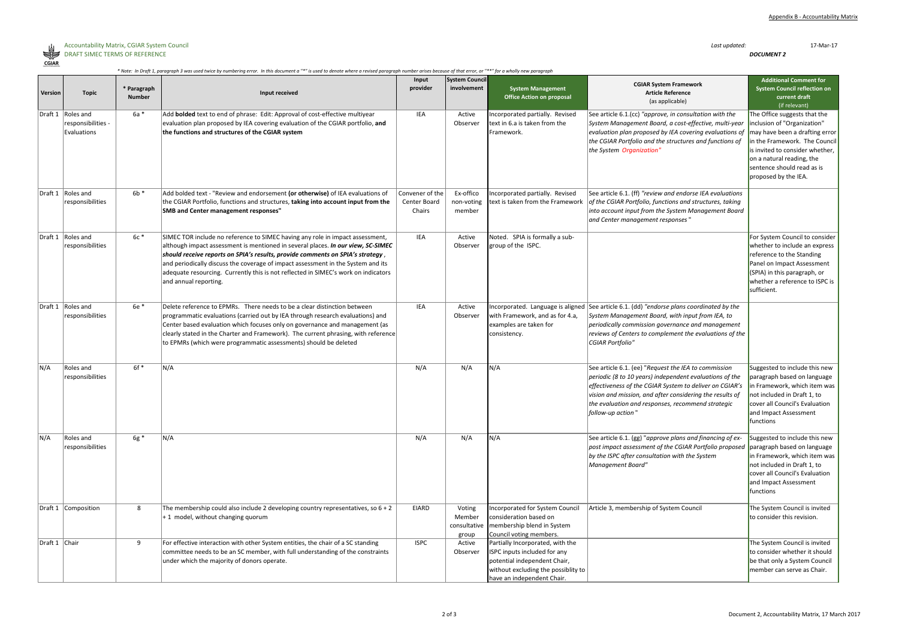

|               | * Note: In Draft 1, paragraph 3 was used twice by numbering error. In this document a "*" is used to denote where a revised paragraph number arises because of that error, or "**" for a wholly new paragraph** |                              |                                                                                                                                                                                                                                                                                                                                                                                                                                                        |                                           |                                           |                                                                                                                                                                       |                                                                                                                                                                                                                                                                                                                  |                                                                                                                                                                                                                                                      |
|---------------|-----------------------------------------------------------------------------------------------------------------------------------------------------------------------------------------------------------------|------------------------------|--------------------------------------------------------------------------------------------------------------------------------------------------------------------------------------------------------------------------------------------------------------------------------------------------------------------------------------------------------------------------------------------------------------------------------------------------------|-------------------------------------------|-------------------------------------------|-----------------------------------------------------------------------------------------------------------------------------------------------------------------------|------------------------------------------------------------------------------------------------------------------------------------------------------------------------------------------------------------------------------------------------------------------------------------------------------------------|------------------------------------------------------------------------------------------------------------------------------------------------------------------------------------------------------------------------------------------------------|
| Version       | <b>Topic</b>                                                                                                                                                                                                    | * Paragraph<br><b>Number</b> | Input received                                                                                                                                                                                                                                                                                                                                                                                                                                         | Input<br>provider                         | <b>System Council</b><br>involvement      | <b>System Management</b><br><b>Office Action on proposal</b>                                                                                                          | <b>CGIAR System Framework</b><br><b>Article Reference</b><br>(as applicable)                                                                                                                                                                                                                                     | <b>Additional Comment for</b><br><b>System Council reflection on</b><br>current draft<br>(if relevant)                                                                                                                                               |
|               | Draft 1   Roles and<br>responsibilities -<br>Evaluations                                                                                                                                                        | $6a *$                       | Add <b>bolded</b> text to end of phrase: Edit: Approval of cost-effective multiyear<br>evaluation plan proposed by IEA covering evaluation of the CGIAR portfolio, and<br>the functions and structures of the CGIAR system                                                                                                                                                                                                                             | <b>IEA</b>                                | Active<br>Observer                        | Incorporated partially. Revised<br>text in 6.a is taken from the<br>Framework.                                                                                        | See article 6.1.(cc) "approve, in consultation with the<br>System Management Board, a cost-effective, multi-year<br>evaluation plan proposed by IEA covering evaluations of<br>the CGIAR Portfolio and the structures and functions of<br>the System Organization"                                               | The Office suggests that the<br>inclusion of "Organization"<br>may have been a drafting error<br>in the Framework. The Council<br>is invited to consider whether,<br>on a natural reading, the<br>sentence should read as is<br>proposed by the IEA. |
|               | Draft 1   Roles and<br>responsibilities                                                                                                                                                                         | $6b *$                       | Add bolded text - "Review and endorsement (or otherwise) of IEA evaluations of<br>the CGIAR Portfolio, functions and structures, taking into account input from the<br><b>SMB and Center management responses"</b>                                                                                                                                                                                                                                     | Convener of the<br>Center Board<br>Chairs | Ex-offico<br>non-voting<br>member         | Incorporated partially. Revised<br>text is taken from the Framework                                                                                                   | See article 6.1. (ff) "review and endorse IEA evaluations<br>of the CGIAR Portfolio, functions and structures, taking<br>into account input from the System Management Board<br>and Center management responses"                                                                                                 |                                                                                                                                                                                                                                                      |
|               | Draft 1 Roles and<br>responsibilities                                                                                                                                                                           | $6c*$                        | SIMEC TOR include no reference to SIMEC having any role in impact assessment,<br>although impact assessment is mentioned in several places. In our view, SC-SIMEC<br>should receive reports on SPIA's results, provide comments on SPIA's strategy,<br>and periodically discuss the coverage of impact assessment in the System and its<br>adequate resourcing. Currently this is not reflected in SIMEC's work on indicators<br>and annual reporting. | IEA                                       | Active<br>Observer                        | Noted. SPIA is formally a sub-<br>group of the ISPC.                                                                                                                  |                                                                                                                                                                                                                                                                                                                  | For System Council to consider<br>whether to include an express<br>reference to the Standing<br>Panel on Impact Assessment<br>$(SPIA)$ in this paragraph, or<br>whether a reference to ISPC is<br>sufficient.                                        |
|               | Draft 1   Roles and<br>responsibilities                                                                                                                                                                         | 6e *                         | Delete reference to EPMRs. There needs to be a clear distinction between<br>programmatic evaluations (carried out by IEA through research evaluations) and<br>Center based evaluation which focuses only on governance and management (as<br>clearly stated in the Charter and Framework). The current phrasing, with reference<br>to EPMRs (which were programmatic assessments) should be deleted                                                    | <b>IEA</b>                                | Active<br>Observer                        | Incorporated. Language is aligned<br>with Framework, and as for 4.a,<br>examples are taken for<br>consistency.                                                        | See article 6.1. (dd) "endorse plans coordinated by the<br>System Management Board, with input from IEA, to<br>periodically commission governance and management<br>reviews of Centers to complement the evaluations of the<br>CGIAR Portfolio"                                                                  |                                                                                                                                                                                                                                                      |
| N/A           | Roles and<br>responsibilities                                                                                                                                                                                   | $6f *$                       | N/A                                                                                                                                                                                                                                                                                                                                                                                                                                                    | N/A                                       | N/A                                       | N/A                                                                                                                                                                   | See article 6.1. (ee) "Request the IEA to commission<br>periodic (8 to 10 years) independent evaluations of the<br>effectiveness of the CGIAR System to deliver on CGIAR's<br>vision and mission, and after considering the results of<br>the evaluation and responses, recommend strategic<br>follow-up action' | Suggested to include this new<br>paragraph based on language<br>in Framework, which item was<br>not included in Draft 1, to<br>cover all Council's Evaluation<br>and Impact Assessment<br><b>functions</b>                                           |
| N/A           | Roles and<br>responsibilities                                                                                                                                                                                   | $6g *$                       | N/A                                                                                                                                                                                                                                                                                                                                                                                                                                                    | N/A                                       | N/A                                       | N/A                                                                                                                                                                   | See article 6.1. (gg) "approve plans and financing of ex-<br>post impact assessment of the CGIAR Portfolio proposed paragraph based on language<br>by the ISPC after consultation with the System<br>Management Board"                                                                                           | Suggested to include this new<br>in Framework, which item was<br>not included in Draft 1, to<br>cover all Council's Evaluation<br>and Impact Assessment<br><b>functions</b>                                                                          |
|               | Draft 1 Composition                                                                                                                                                                                             | 8                            | The membership could also include 2 developing country representatives, so $6 + 2$<br>+1 model, without changing quorum                                                                                                                                                                                                                                                                                                                                | <b>EIARD</b>                              | Voting<br>Member<br>consultative<br>group | Incorporated for System Council<br>consideration based on<br>membership blend in System<br>Council voting members.                                                    | Article 3, membership of System Council                                                                                                                                                                                                                                                                          | The System Council is invited<br>to consider this revision.                                                                                                                                                                                          |
| Draft 1 Chair |                                                                                                                                                                                                                 | 9                            | For effective interaction with other System entities, the chair of a SC standing<br>committee needs to be an SC member, with full understanding of the constraints<br>under which the majority of donors operate.                                                                                                                                                                                                                                      | <b>ISPC</b>                               | Active<br>Observer                        | Partially Incorporated, with the<br>ISPC inputs included for any<br>potential independent Chair,<br>without excluding the possiblity to<br>have an independent Chair. |                                                                                                                                                                                                                                                                                                                  | The System Council is invited<br>to consider whether it should<br>be that only a System Council<br>member can serve as Chair.                                                                                                                        |